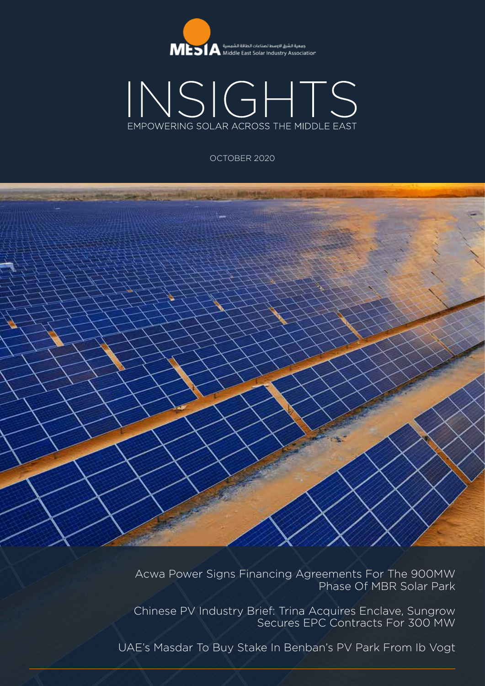



OCTOBER 2020



Acwa Power Signs Financing Agreements For The 900MW Phase Of MBR Solar Park

Chinese PV Industry Brief: Trina Acquires Enclave, Sungrow Secures EPC Contracts For 300 MW

UAE's Masdar To Buy Stake In Benban's PV Park From Ib Vogt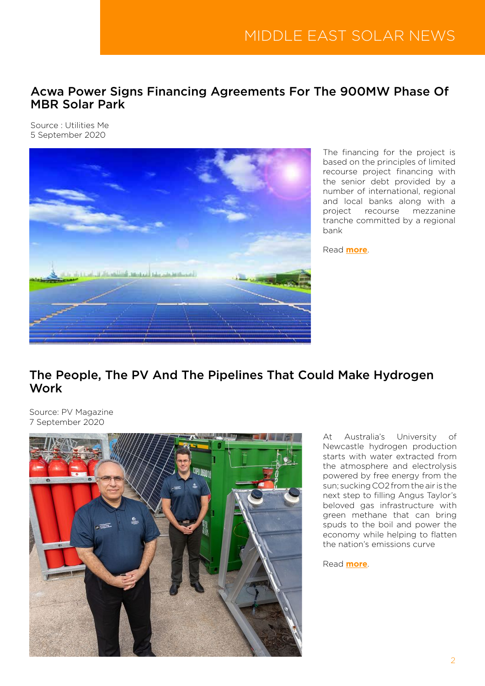## Acwa Power Signs Financing Agreements For The 900MW Phase Of MBR Solar Park

Source : Utilities Me 5 September 2020



The financing for the project is based on the principles of limited recourse project financing with the senior debt provided by a number of international, regional and local banks along with a project recourse mezzanine tranche committed by a regional bank

Read **[more](https://www.utilities-me.com/news/15937-acwa-power-signs-financing-agreements-for-the-900mw-phase-of-mbr-solar-park)**.

## The People, The PV And The Pipelines That Could Make Hydrogen Work

Source: PV Magazine 7 September 2020



At Australia's University of Newcastle hydrogen production starts with water extracted from the atmosphere and electrolysis powered by free energy from the sun; sucking CO2 from the air is the next step to filling Angus Taylor's beloved gas infrastructure with green methane that can bring spuds to the boil and power the economy while helping to flatten the nation's emissions curve

Read **[more](https://www.pv-magazine.com/2020/09/07/the-people-the-pv-and-the-pipelines-that-could-make-hydrogen-work/)**.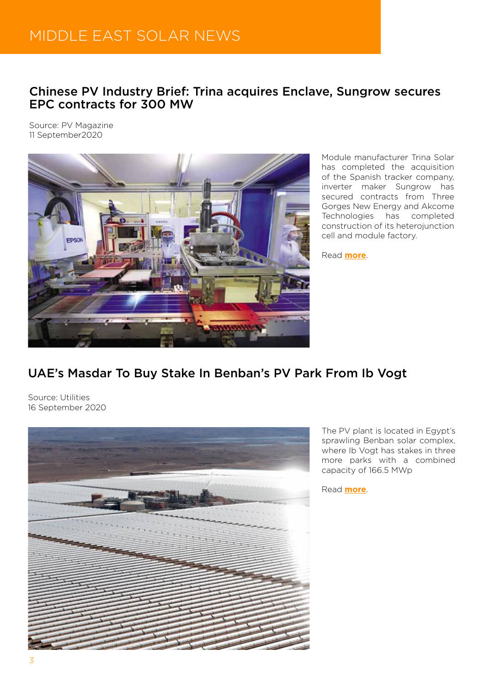# MIDDLE EAST SOLAR NEWS

## Chinese PV Industry Brief: Trina acquires Enclave, Sungrow secures EPC contracts for 300 MW

Source: PV Magazine 11 September2020



Module manufacturer Trina Solar has completed the acquisition of the Spanish tracker company, inverter maker Sungrow has secured contracts from Three Gorges New Energy and Akcome Technologies has completed construction of its heterojunction cell and module factory.

Read **[more](https://www.pv-magazine.com/2020/09/11/chinese-pv-industry-brief-trina-acquires-enclave-sungrow-secures-epc-contracts-for-300-mw/)**.

## UAE's Masdar To Buy Stake In Benban's PV Park From Ib Vogt

Source: Utilities 16 September 2020



The PV plant is located in Egypt's sprawling Benban solar complex, where Ib Vogt has stakes in three more parks with a combined capacity of 166.5 MWp

Read **[more](https://www.utilities-me.com/news/16009-uaes-masdar-to-buy-stake-in-benbans-pv-park-from-ib-vogt)**.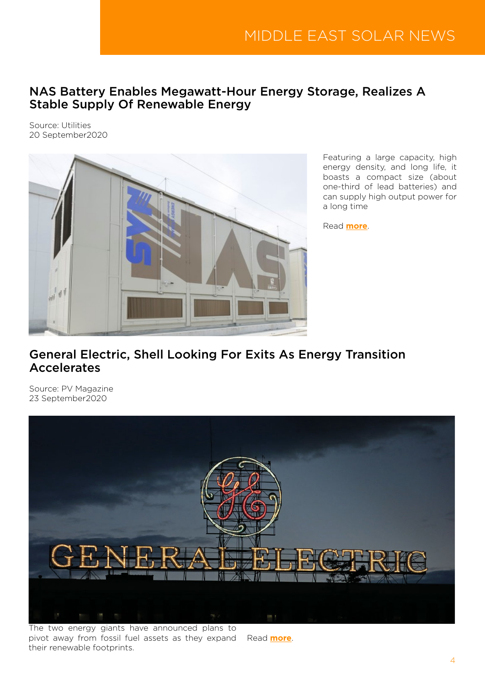### NAS Battery Enables Megawatt-Hour Energy Storage, Realizes A Stable Supply Of Renewable Energy

Source: Utilities 20 September2020



Featuring a large capacity, high energy density, and long life, it boasts a compact size (about one-third of lead batteries) and can supply high output power for a long time

Read **[more](https://www.utilities-me.com/news/16022-nas-battery-enables-megawatt-hour-energy-storage-realizes-a-stable-supply-of-renewable-energy)**.

## General Electric, Shell Looking For Exits As Energy Transition Accelerates

Source: PV Magazine 23 September2020



The two energy giants have announced plans to pivot away from fossil fuel assets as they expand Read **[more](https://www.pv-magazine.com/2020/09/23/general-electric-shell-looking-for-exits-as-energy-transition-accelerates/)**. their renewable footprints.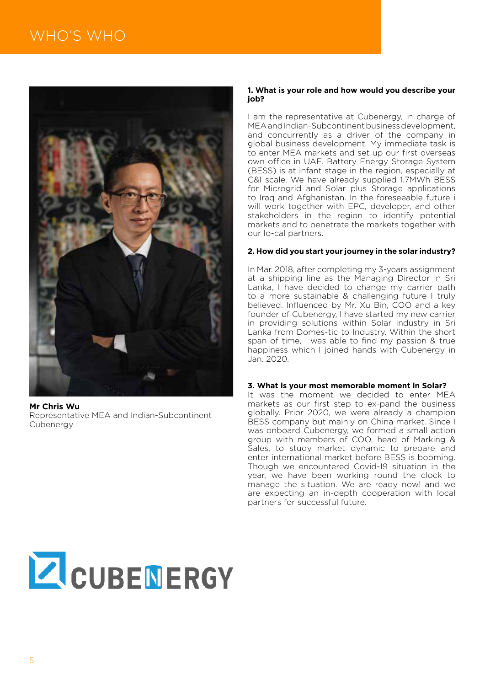

**Mr Chris Wu** Representative MEA and Indian-Subcontinent **Cubenergy** 

#### **1. What is your role and how would you describe your job?**

I am the representative at Cubenergy, in charge of MEA and Indian-Subcontinent business development, and concurrently as a driver of the company in global business development. My immediate task is to enter MEA markets and set up our first overseas own office in UAE. Battery Energy Storage System (BESS) is at infant stage in the region, especially at C&I scale. We have already supplied 1.7MWh BESS for Microgrid and Solar plus Storage applications to Iraq and Afghanistan. In the foreseeable future i will work together with EPC, developer, and other stakeholders in the region to identify potential markets and to penetrate the markets together with our lo-cal partners.

#### **2. How did you start your journey in the solar industry?**

In Mar. 2018, after completing my 3-years assignment at a shipping line as the Managing Director in Sri Lanka, I have decided to change my carrier path to a more sustainable & challenging future I truly believed. Influenced by Mr. Xu Bin, COO and a key founder of Cubenergy, I have started my new carrier in providing solutions within Solar industry in Sri Lanka from Domes-tic to Industry. Within the short span of time, I was able to find my passion & true happiness which I joined hands with Cubenergy in Jan. 2020.

#### **3. What is your most memorable moment in Solar?**

It was the moment we decided to enter MEA markets as our first step to ex-pand the business globally. Prior 2020, we were already a champion BESS company but mainly on China market. Since I was onboard Cubenergy, we formed a small action group with members of COO, head of Marking & Sales, to study market dynamic to prepare and enter international market before BESS is booming. Though we encountered Covid-19 situation in the year, we have been working round the clock to manage the situation. We are ready now! and we are expecting an in-depth cooperation with local partners for successful future.

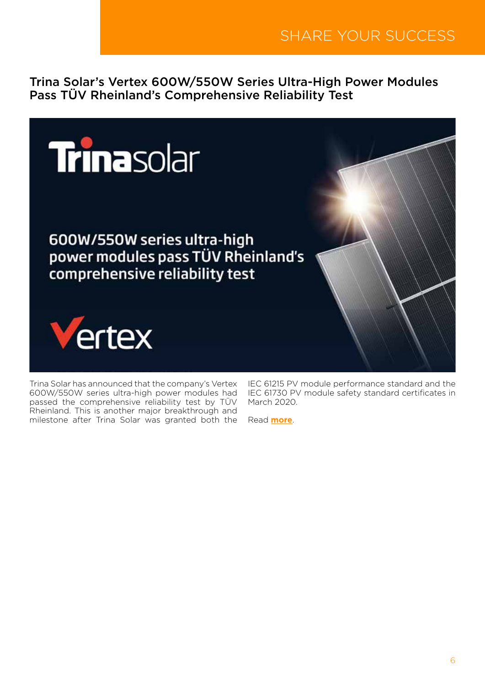Trina Solar's Vertex 600W/550W Series Ultra-High Power Modules Pass TÜV Rheinland's Comprehensive Reliability Test



Trina Solar has announced that the company's Vertex 600W/550W series ultra-high power modules had passed the comprehensive reliability test by TÜV Rheinland. This is another major breakthrough and milestone after Trina Solar was granted both the

IEC 61215 PV module performance standard and the IEC 61730 PV module safety standard certificates in March 2020.

Read **[more](http://www.mesia.com/2020/09/29/trina-solars-vertex-600w-550w-series-ultra-high-power-modules-pass-tuv-rheinlands-comprehensive-reliability-test/)**.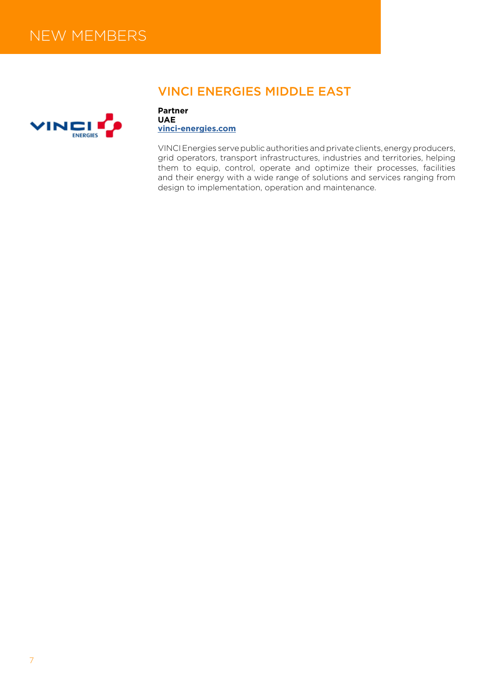

## VINCI ENERGIES MIDDLE EAST

**Partner UAE [vinci-energies.com](https://www.vinci-energies.com)**

VINCI Energies serve public authorities and private clients, energy producers, grid operators, transport infrastructures, industries and territories, helping them to equip, control, operate and optimize their processes, facilities and their energy with a wide range of solutions and services ranging from design to implementation, operation and maintenance.